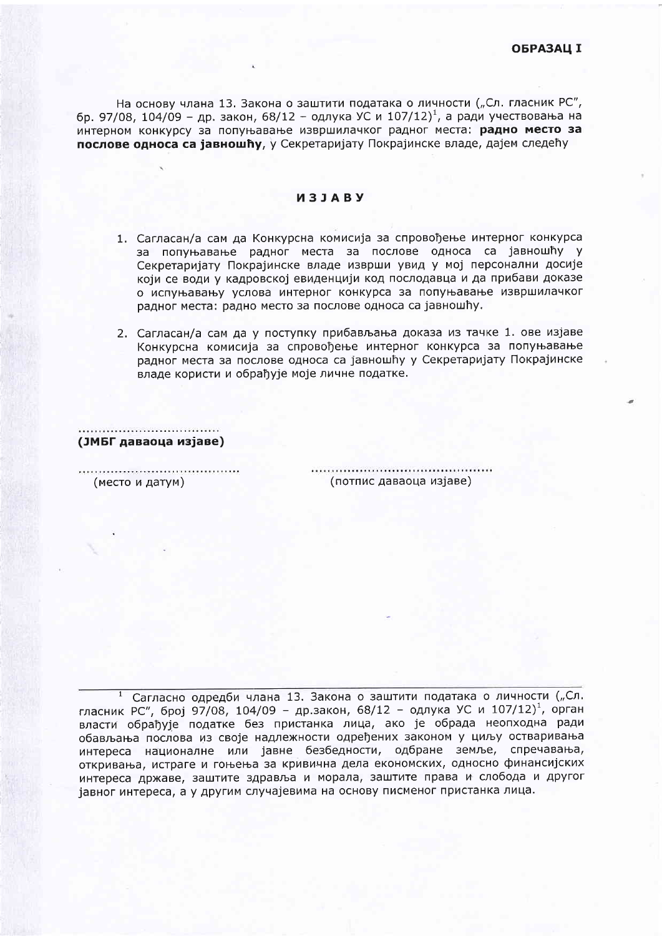На основу члана 13. Закона о заштити података о личности ("Сл. гласник РС", бр. 97/08, 104/09 - др. закон, 68/12 - одлука УС и 107/12)<sup>1</sup>, а ради учествовања на интерном конкурсу за попуњавање извршилачког радног места: радно место за послове односа са јавношћу, у Секретаријату Покрајинске владе, дајем следећу

## *M***3JABY**

- 1. Сагласан/а сам да Конкурсна комисија за спровођење интерног конкурса за попуњавање радног места за послове односа са јавношћу у Секретаријату Покрајинске владе изврши увид у мој персонални досије који се води у кадровској евиденцији код послодавца и да прибави доказе о испуњавању услова интерног конкурса за попуњавање извршилачког радног места: радно место за послове односа са јавношћу.
- 2. Сагласан/а сам да у поступку прибављања доказа из тачке 1. ове изјаве Конкурсна комисија за спровођење интерног конкурса за попуњавање радног места за послове односа са јавношћу у Секретаријату Покрајинске владе користи и обрађује моје личне податке.

(ЈМБГ даваоца изјаве)

(место и датум)

(потпис даваоца изјаве)

Сагласно одредби члана 13. Закона о заштити података о личности ("Сл.  $\mathbf{1}$ гласник РС", број 97/08, 104/09 - др.закон, 68/12 - одлука УС и 107/12)<sup>1</sup>, орган власти обрађује податке без пристанка лица, ако је обрада неопходна ради обављања послова из своје надлежности одређених законом у циљу остваривања интереса националне или јавне безбедности, одбране земље, спречавања, откривања, истраге и гоњења за кривична дела економских, односно финансијских интереса државе, заштите здравља и морала, заштите права и слобода и другог јавног интереса, а у другим случајевима на основу писменог пристанка лица.